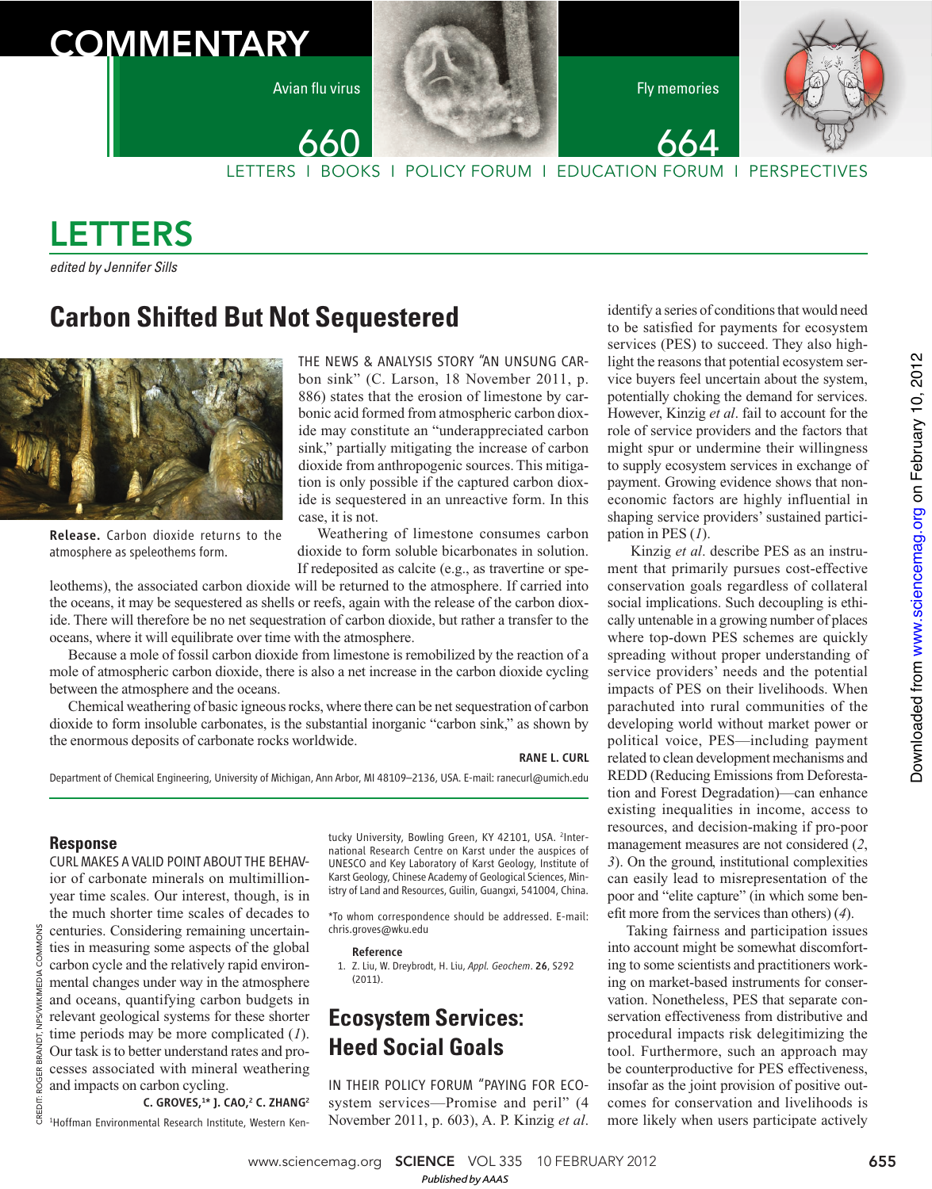# **COMMENTARY**

Avian flu virus **Figure 1999 Figure 1999 Figure 1999 Figure 1999** 

664



LETTERS I BOOKS I POLICY FORUM I EDUCATION FORUM I PERSPECTIVES

# LETTERS

edited by Jennifer Sills

## **Carbon Shifted But Not Sequestered**



Release. Carbon dioxide returns to the atmosphere as speleothems form.

THE NEWS & ANALYSIS STORY "AN UNSUNG CARbon sink" (C. Larson, 18 November 2011, p. 886) states that the erosion of limestone by carbonic acid formed from atmospheric carbon dioxide may constitute an "underappreciated carbon sink," partially mitigating the increase of carbon dioxide from anthropogenic sources. This mitigation is only possible if the captured carbon dioxide is sequestered in an unreactive form. In this case, it is not.

Weathering of limestone consumes carbon dioxide to form soluble bicarbonates in solution. If redeposited as calcite (e.g., as travertine or spe-

leothems), the associated carbon dioxide will be returned to the atmosphere. If carried into the oceans, it may be sequestered as shells or reefs, again with the release of the carbon dioxide. There will therefore be no net sequestration of carbon dioxide, but rather a transfer to the oceans, where it will equilibrate over time with the atmosphere.

660

Because a mole of fossil carbon dioxide from limestone is remobilized by the reaction of a mole of atmospheric carbon dioxide, there is also a net increase in the carbon dioxide cycling between the atmosphere and the oceans.

Chemical weathering of basic igneous rocks, where there can be net sequestration of carbon dioxide to form insoluble carbonates, is the substantial inorganic "carbon sink," as shown by the enormous deposits of carbonate rocks worldwide.

#### RANE L. CURL

Department of Chemical Engineering, University of Michigan, Ann Arbor, MI 48109–2136, USA. E-mail: ranecurl@umich.edu

### **Response**

CURL MAKES A VALID POINT ABOUT THE BEHAVior of carbonate minerals on multimillionyear time scales. Our interest, though, is in the much shorter time scales of decades to centuries. Considering remaining uncertainties in measuring some aspects of the global carbon cycle and the relatively rapid environmental changes under way in the atmosphere and oceans, quantifying carbon budgets in relevant geological systems for these shorter time periods may be more complicated (*1*). Our task is to better understand rates and processes associated with mineral weathering and impacts on carbon cycling. C. GROVES,<sup>1\*</sup> J. CAO,<sup>2</sup> C. ZHANG<sup>2</sup>

1 Hoffman Environmental Research Institute, Western Ken-

tucky University, Bowling Green, KY 42101, USA. <sup>2</sup>International Research Centre on Karst under the auspices of UNESCO and Key Laboratory of Karst Geology, Institute of Karst Geology, Chinese Academy of Geological Sciences, Ministry of Land and Resources, Guilin, Guangxi, 541004, China.

\*To whom correspondence should be addressed. E-mail: chris.groves@wku.edu

#### Reference

 1. Z. Liu, W. Dreybrodt, H. Liu, *Appl. Geochem*. 26, S292 (2011).

## **Ecosystem Services: Heed Social Goals**

IN THEIR POLICY FORUM "PAYING FOR ECOsystem services—Promise and peril" (4 November 2011, p. 603), A. P. Kinzig *et al*.

identify a series of conditions that would need to be satisfied for payments for ecosystem services (PES) to succeed. They also highlight the reasons that potential ecosystem service buyers feel uncertain about the system, potentially choking the demand for services. However, Kinzig *et al*. fail to account for the role of service providers and the factors that might spur or undermine their willingness to supply ecosystem services in exchange of payment. Growing evidence shows that noneconomic factors are highly influential in shaping service providers' sustained participation in PES (*1*).

 Kinzig *et al*. describe PES as an instrument that primarily pursues cost-effective conservation goals regardless of collateral social implications. Such decoupling is ethically untenable in a growing number of places where top-down PES schemes are quickly spreading without proper understanding of service providers' needs and the potential impacts of PES on their livelihoods. When parachuted into rural communities of the developing world without market power or political voice, PES—including payment related to clean development mechanisms and REDD (Reducing Emissions from Deforestation and Forest Degradation)—can enhance existing inequalities in income, access to resources, and decision-making if pro-poor management measures are not considered (*2*, *3*). On the ground, institutional complexities can easily lead to misrepresentation of the poor and "elite capture" (in which some benefit more from the services than others) (4).

Taking fairness and participation issues into account might be somewhat discomforting to some scientists and practitioners working on market-based instruments for conservation. Nonetheless, PES that separate conservation effectiveness from distributive and procedural impacts risk delegitimizing the tool. Furthermore, such an approach may be counterproductive for PES effectiveness, insofar as the joint provision of positive outcomes for conservation and livelihoods is more likely when users participate actively

www.sciencemag.org **SCIENCE** VOL 335 10 FEBRUARY 2012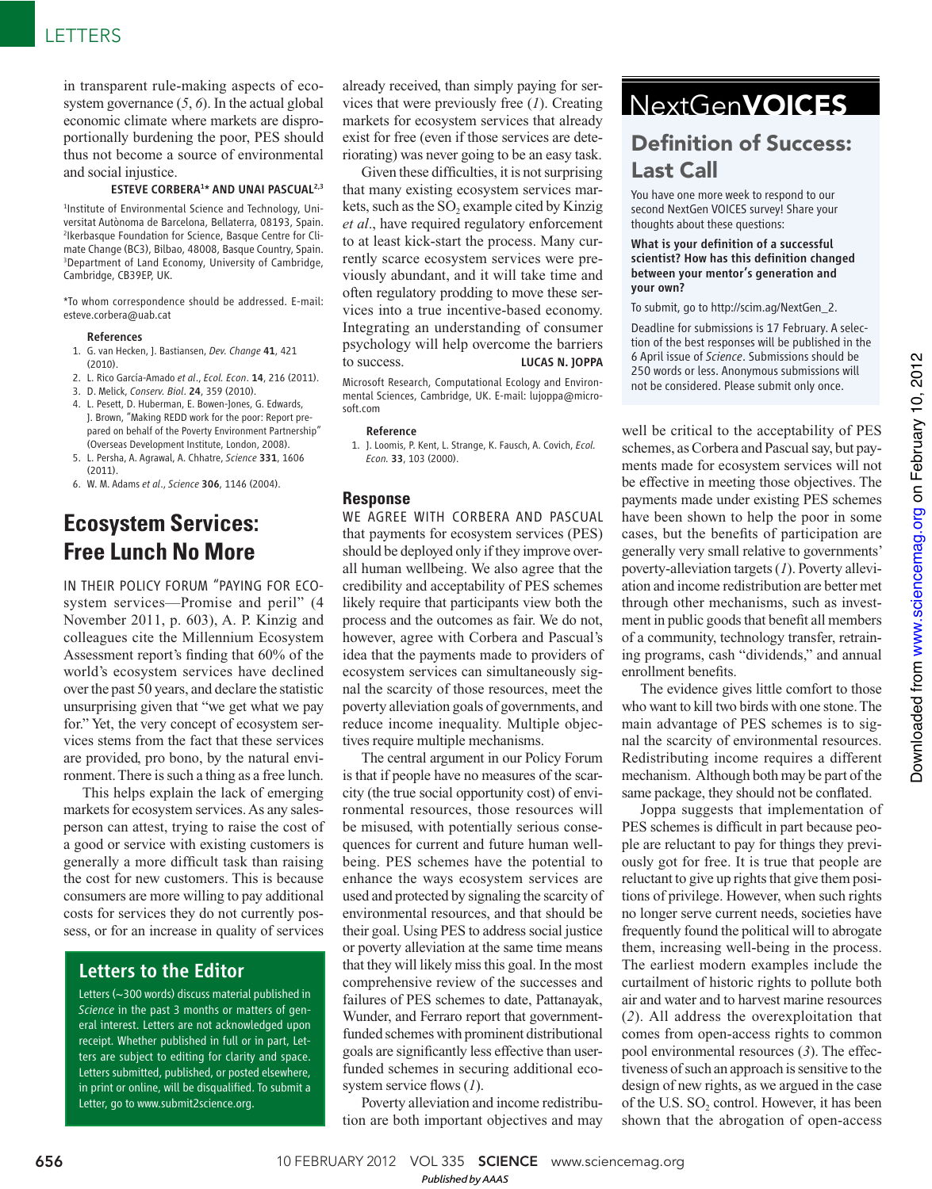in transparent rule-making aspects of ecosystem governance (*5*, *6*). In the actual global economic climate where markets are disproportionally burdening the poor, PES should thus not become a source of environmental and social injustice.

#### ESTEVE CORBERA<sup>1\*</sup> AND UNAI PASCUAL<sup>2,3</sup>

1 Institute of Environmental Science and Technology, Universitat Autònoma de Barcelona, Bellaterra, 08193, Spain. 2 Ikerbasque Foundation for Science, Basque Centre for Climate Change (BC3), Bilbao, 48008, Basque Country, Spain. 3 Department of Land Economy, University of Cambridge, Cambridge, CB39EP, UK.

\*To whom correspondence should be addressed. E-mail: esteve.corbera@uab.cat

#### References

- 1. G. van Hecken, J. Bastiansen, *Dev. Change* 41, 421  $(2010)$
- 2. L. Rico García-Amado *et al*., *Ecol. Econ*. 14, 216 (2011).
- 3. D. Melick, *Conserv. Biol*. 24, 359 (2010).
- 4. L. Pesett, D. Huberman, E. Bowen-Jones, G. Edwards, J. Brown, "Making REDD work for the poor: Report prepared on behalf of the Poverty Environment Partnership" (Overseas Development Institute, London, 2008).
- 5. L. Persha, A. Agrawal, A. Chhatre, *Science* 331, 1606 (2011).
- 6. W. M. Adams *et al*., *Science* 306, 1146 (2004).

## **Ecosystem Services: Free Lunch No More**

IN THEIR POLICY FORUM "PAYING FOR ECOsystem services—Promise and peril" (4 November 2011, p. 603), A. P. Kinzig and colleagues cite the Millennium Ecosystem Assessment report's finding that 60% of the world's ecosystem services have declined over the past 50 years, and declare the statistic unsurprising given that "we get what we pay for." Yet, the very concept of ecosystem services stems from the fact that these services are provided, pro bono, by the natural environment. There is such a thing as a free lunch.

This helps explain the lack of emerging markets for ecosystem services. As any salesperson can attest, trying to raise the cost of a good or service with existing customers is generally a more difficult task than raising the cost for new customers. This is because consumers are more willing to pay additional costs for services they do not currently possess, or for an increase in quality of services

## Letters to the Editor

Letters (~300 words) discuss material published in *Science* in the past 3 months or matters of general interest. Letters are not acknowledged upon receipt. Whether published in full or in part, Letters are subject to editing for clarity and space. Letters submitted, published, or posted elsewhere, in print or online, will be disqualified. To submit a Letter, go to www.submit2science.org.

already received, than simply paying for services that were previously free (*1*). Creating markets for ecosystem services that already exist for free (even if those services are deteriorating) was never going to be an easy task.

Given these difficulties, it is not surprising that many existing ecosystem services markets, such as the  $SO_2$  example cited by Kinzig *et al*., have required regulatory enforcement to at least kick-start the process. Many currently scarce ecosystem services were previously abundant, and it will take time and often regulatory prodding to move these services into a true incentive-based economy. Integrating an understanding of consumer psychology will help overcome the barriers to success. LUCAS N. JOPPA

Microsoft Research, Computational Ecology and Environmental Sciences, Cambridge, UK. E-mail: lujoppa@microsoft.com

#### Reference

 1. J. Loomis, P. Kent, L. Strange, K. Fausch, A. Covich, *Ecol. Econ.* 33, 103 (2000).

#### **Response**

WE AGREE WITH CORBERA AND PASCUAL that payments for ecosystem services (PES) should be deployed only if they improve overall human wellbeing. We also agree that the credibility and acceptability of PES schemes likely require that participants view both the process and the outcomes as fair. We do not, however, agree with Corbera and Pascual's idea that the payments made to providers of ecosystem services can simultaneously signal the scarcity of those resources, meet the poverty alleviation goals of governments, and reduce income inequality. Multiple objectives require multiple mechanisms.

The central argument in our Policy Forum is that if people have no measures of the scarcity (the true social opportunity cost) of environmental resources, those resources will be misused, with potentially serious consequences for current and future human wellbeing. PES schemes have the potential to enhance the ways ecosystem services are used and protected by signaling the scarcity of environmental resources, and that should be their goal. Using PES to address social justice or poverty alleviation at the same time means that they will likely miss this goal. In the most comprehensive review of the successes and failures of PES schemes to date, Pattanayak, Wunder, and Ferraro report that governmentfunded schemes with prominent distributional goals are significantly less effective than userfunded schemes in securing additional ecosystem service flows (1).

Poverty alleviation and income redistribution are both important objectives and may

## NextGenVOICES

## **Definition of Success:** Last Call

You have one more week to respond to our second NextGen VOICES survey! Share your thoughts about these questions:

#### What is your definition of a successful scientist? How has this definition changed between your mentor's generation and your own?

To submit, go to http://scim.ag/NextGen\_2.

Deadline for submissions is 17 February. A selection of the best responses will be published in the 6 April issue of *Science*. Submissions should be 250 words or less. Anonymous submissions will not be considered. Please submit only once.

well be critical to the acceptability of PES schemes, as Corbera and Pascual say, but payments made for ecosystem services will not be effective in meeting those objectives. The payments made under existing PES schemes have been shown to help the poor in some cases, but the benefits of participation are generally very small relative to governments' poverty-alleviation targets (*1*). Poverty alleviation and income redistribution are better met through other mechanisms, such as investment in public goods that benefit all members of a community, technology transfer, retraining programs, cash "dividends," and annual enrollment benefits.

The evidence gives little comfort to those who want to kill two birds with one stone. The main advantage of PES schemes is to signal the scarcity of environmental resources. Redistributing income requires a different mechanism. Although both may be part of the same package, they should not be conflated.

Joppa suggests that implementation of PES schemes is difficult in part because people are reluctant to pay for things they previously got for free. It is true that people are reluctant to give up rights that give them positions of privilege. However, when such rights no longer serve current needs, societies have frequently found the political will to abrogate them, increasing well-being in the process. The earliest modern examples include the curtailment of historic rights to pollute both air and water and to harvest marine resources (*2*). All address the overexploitation that comes from open-access rights to common pool environmental resources (*3*). The effectiveness of such an approach is sensitive to the design of new rights, as we argued in the case of the U.S.  $SO_2$  control. However, it has been shown that the abrogation of open-access